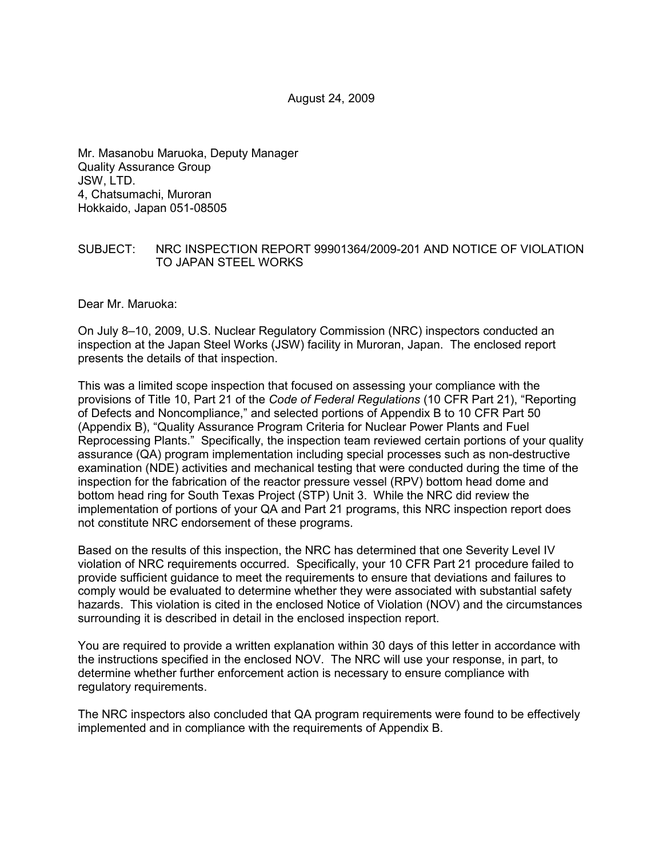Mr. Masanobu Maruoka, Deputy Manager Quality Assurance Group JSW, LTD. 4, Chatsumachi, Muroran Hokkaido, Japan 051-08505

#### SUBJECT: NRC INSPECTION REPORT 99901364/2009-201 AND NOTICE OF VIOLATION TO JAPAN STEEL WORKS

Dear Mr. Maruoka:

On July 8–10, 2009, U.S. Nuclear Regulatory Commission (NRC) inspectors conducted an inspection at the Japan Steel Works (JSW) facility in Muroran, Japan. The enclosed report presents the details of that inspection.

This was a limited scope inspection that focused on assessing your compliance with the provisions of Title 10, Part 21 of the *Code of Federal Regulations* (10 CFR Part 21), "Reporting of Defects and Noncompliance," and selected portions of Appendix B to 10 CFR Part 50 (Appendix B), "Quality Assurance Program Criteria for Nuclear Power Plants and Fuel Reprocessing Plants." Specifically, the inspection team reviewed certain portions of your quality assurance (QA) program implementation including special processes such as non-destructive examination (NDE) activities and mechanical testing that were conducted during the time of the inspection for the fabrication of the reactor pressure vessel (RPV) bottom head dome and bottom head ring for South Texas Project (STP) Unit 3. While the NRC did review the implementation of portions of your QA and Part 21 programs, this NRC inspection report does not constitute NRC endorsement of these programs.

Based on the results of this inspection, the NRC has determined that one Severity Level IV violation of NRC requirements occurred. Specifically, your 10 CFR Part 21 procedure failed to provide sufficient guidance to meet the requirements to ensure that deviations and failures to comply would be evaluated to determine whether they were associated with substantial safety hazards. This violation is cited in the enclosed Notice of Violation (NOV) and the circumstances surrounding it is described in detail in the enclosed inspection report.

You are required to provide a written explanation within 30 days of this letter in accordance with the instructions specified in the enclosed NOV. The NRC will use your response, in part, to determine whether further enforcement action is necessary to ensure compliance with regulatory requirements.

The NRC inspectors also concluded that QA program requirements were found to be effectively implemented and in compliance with the requirements of Appendix B.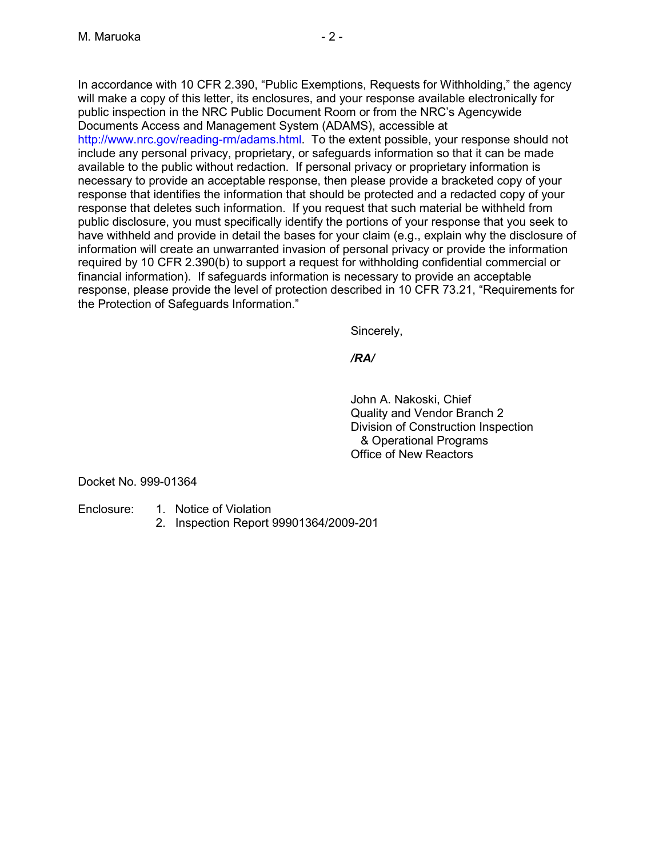In accordance with 10 CFR 2.390, "Public Exemptions, Requests for Withholding," the agency will make a copy of this letter, its enclosures, and your response available electronically for public inspection in the NRC Public Document Room or from the NRC's Agencywide Documents Access and Management System (ADAMS), accessible at http://www.nrc.gov/reading-rm/adams.html. To the extent possible, your response should not include any personal privacy, proprietary, or safeguards information so that it can be made available to the public without redaction. If personal privacy or proprietary information is necessary to provide an acceptable response, then please provide a bracketed copy of your response that identifies the information that should be protected and a redacted copy of your response that deletes such information. If you request that such material be withheld from public disclosure, you must specifically identify the portions of your response that you seek to have withheld and provide in detail the bases for your claim (e.g., explain why the disclosure of information will create an unwarranted invasion of personal privacy or provide the information required by 10 CFR 2.390(b) to support a request for withholding confidential commercial or financial information). If safeguards information is necessary to provide an acceptable response, please provide the level of protection described in 10 CFR 73.21, "Requirements for the Protection of Safeguards Information."

Sincerely,

*/RA/* 

John A. Nakoski, Chief Quality and Vendor Branch 2 Division of Construction Inspection & Operational Programs Office of New Reactors

Docket No. 999-01364

- Enclosure: 1. Notice of Violation
	- 2. Inspection Report 99901364/2009-201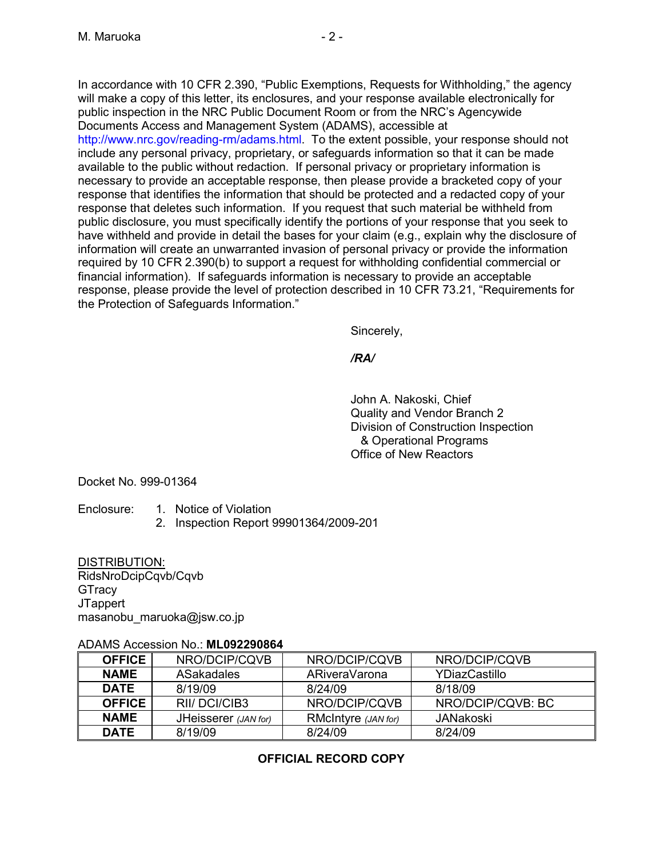In accordance with 10 CFR 2.390, "Public Exemptions, Requests for Withholding," the agency will make a copy of this letter, its enclosures, and your response available electronically for public inspection in the NRC Public Document Room or from the NRC's Agencywide Documents Access and Management System (ADAMS), accessible at http://www.nrc.gov/reading-rm/adams.html. To the extent possible, your response should not include any personal privacy, proprietary, or safeguards information so that it can be made available to the public without redaction. If personal privacy or proprietary information is necessary to provide an acceptable response, then please provide a bracketed copy of your response that identifies the information that should be protected and a redacted copy of your response that deletes such information. If you request that such material be withheld from public disclosure, you must specifically identify the portions of your response that you seek to have withheld and provide in detail the bases for your claim (e.g., explain why the disclosure of information will create an unwarranted invasion of personal privacy or provide the information required by 10 CFR 2.390(b) to support a request for withholding confidential commercial or financial information). If safeguards information is necessary to provide an acceptable response, please provide the level of protection described in 10 CFR 73.21, "Requirements for the Protection of Safeguards Information."

Sincerely,

*/RA/* 

John A. Nakoski, Chief Quality and Vendor Branch 2 Division of Construction Inspection & Operational Programs Office of New Reactors

Docket No. 999-01364

- Enclosure: 1. Notice of Violation
	- 2. Inspection Report 99901364/2009-201

DISTRIBUTION: RidsNroDcipCqvb/Cqvb **GTracy JTappert** masanobu\_maruoka@jsw.co.jp

#### ADAMS Accession No.: **ML092290864**

| <b>OFFICE</b>          | NRO/DCIP/CQVB        | NRO/DCIP/CQVB       | NRO/DCIP/CQVB     |
|------------------------|----------------------|---------------------|-------------------|
| <b>NAME</b>            | <b>ASakadales</b>    | ARiveraVarona       | YDiazCastillo     |
| <b>DATE</b><br>8/19/09 |                      | 8/24/09             | 8/18/09           |
| <b>OFFICE</b>          | RII/DCI/CIB3         | NRO/DCIP/CQVB       | NRO/DCIP/CQVB: BC |
| <b>NAME</b>            | JHeisserer (JAN for) | RMcIntyre (JAN for) | <b>JANakoski</b>  |
| <b>DATE</b>            | 8/19/09              | 8/24/09             | 8/24/09           |

# **OFFICIAL RECORD COPY**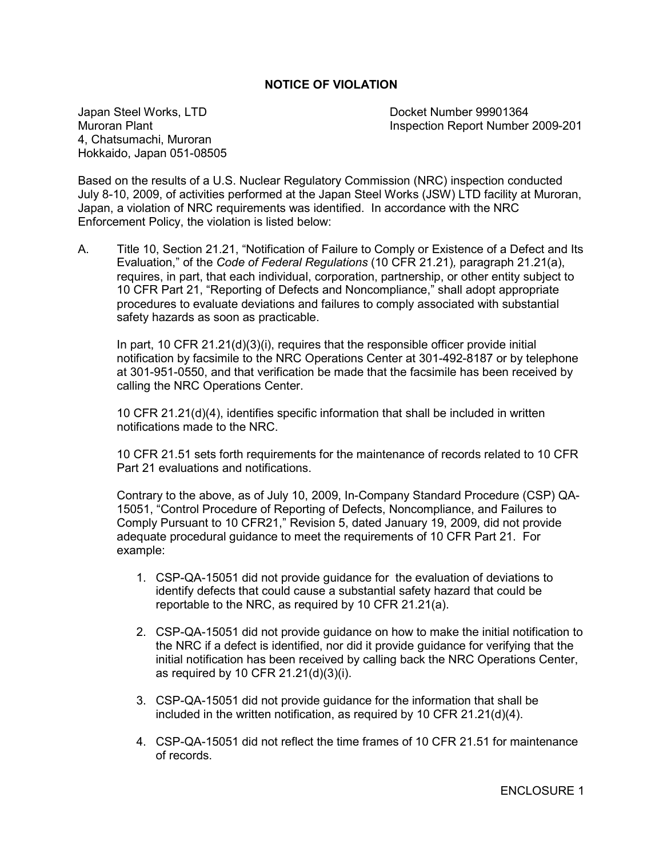#### **NOTICE OF VIOLATION**

Japan Steel Works, LTD<br>Muroran Plant Number 99901364<br>Inspection Report Number 4, Chatsumachi, Muroran Hokkaido, Japan 051-08505

Inspection Report Number 2009-201

Based on the results of a U.S. Nuclear Regulatory Commission (NRC) inspection conducted July 8-10, 2009, of activities performed at the Japan Steel Works (JSW) LTD facility at Muroran, Japan, a violation of NRC requirements was identified. In accordance with the NRC Enforcement Policy, the violation is listed below:

A. Title 10, Section 21.21, "Notification of Failure to Comply or Existence of a Defect and Its Evaluation," of the *Code of Federal Regulations* (10 CFR 21.21)*,* paragraph 21.21(a), requires, in part, that each individual, corporation, partnership, or other entity subject to 10 CFR Part 21, "Reporting of Defects and Noncompliance," shall adopt appropriate procedures to evaluate deviations and failures to comply associated with substantial safety hazards as soon as practicable.

In part, 10 CFR 21.21(d)(3)(i), requires that the responsible officer provide initial notification by facsimile to the NRC Operations Center at 301-492-8187 or by telephone at 301-951-0550, and that verification be made that the facsimile has been received by calling the NRC Operations Center.

10 CFR 21.21(d)(4), identifies specific information that shall be included in written notifications made to the NRC.

10 CFR 21.51 sets forth requirements for the maintenance of records related to 10 CFR Part 21 evaluations and notifications.

Contrary to the above, as of July 10, 2009, In-Company Standard Procedure (CSP) QA-15051, "Control Procedure of Reporting of Defects, Noncompliance, and Failures to Comply Pursuant to 10 CFR21," Revision 5, dated January 19, 2009, did not provide adequate procedural guidance to meet the requirements of 10 CFR Part 21. For example:

- 1. CSP-QA-15051 did not provide guidance for the evaluation of deviations to identify defects that could cause a substantial safety hazard that could be reportable to the NRC, as required by 10 CFR 21.21(a).
- 2. CSP-QA-15051 did not provide guidance on how to make the initial notification to the NRC if a defect is identified, nor did it provide guidance for verifying that the initial notification has been received by calling back the NRC Operations Center, as required by 10 CFR 21.21(d)(3)(i).
- 3. CSP-QA-15051 did not provide guidance for the information that shall be included in the written notification, as required by 10 CFR 21.21(d)(4).
- 4. CSP-QA-15051 did not reflect the time frames of 10 CFR 21.51 for maintenance of records.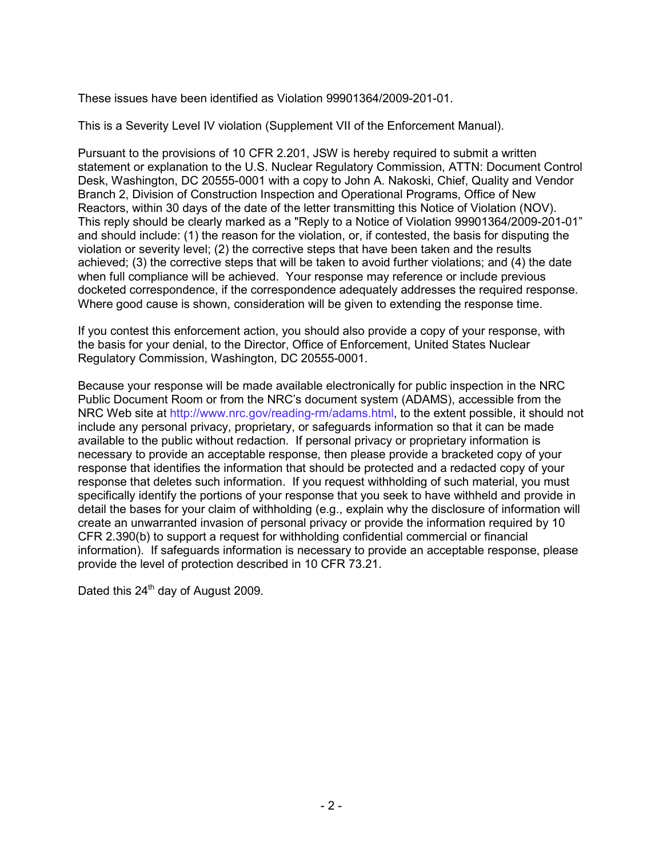These issues have been identified as Violation 99901364/2009-201-01.

This is a Severity Level IV violation (Supplement VII of the Enforcement Manual).

Pursuant to the provisions of 10 CFR 2.201, JSW is hereby required to submit a written statement or explanation to the U.S. Nuclear Regulatory Commission, ATTN: Document Control Desk, Washington, DC 20555-0001 with a copy to John A. Nakoski, Chief, Quality and Vendor Branch 2, Division of Construction Inspection and Operational Programs, Office of New Reactors, within 30 days of the date of the letter transmitting this Notice of Violation (NOV). This reply should be clearly marked as a "Reply to a Notice of Violation 99901364/2009-201-01" and should include: (1) the reason for the violation, or, if contested, the basis for disputing the violation or severity level; (2) the corrective steps that have been taken and the results achieved; (3) the corrective steps that will be taken to avoid further violations; and (4) the date when full compliance will be achieved. Your response may reference or include previous docketed correspondence, if the correspondence adequately addresses the required response. Where good cause is shown, consideration will be given to extending the response time.

If you contest this enforcement action, you should also provide a copy of your response, with the basis for your denial, to the Director, Office of Enforcement, United States Nuclear Regulatory Commission, Washington, DC 20555-0001.

Because your response will be made available electronically for public inspection in the NRC Public Document Room or from the NRC's document system (ADAMS), accessible from the NRC Web site at http://www.nrc.gov/reading-rm/adams.html, to the extent possible, it should not include any personal privacy, proprietary, or safeguards information so that it can be made available to the public without redaction. If personal privacy or proprietary information is necessary to provide an acceptable response, then please provide a bracketed copy of your response that identifies the information that should be protected and a redacted copy of your response that deletes such information. If you request withholding of such material, you must specifically identify the portions of your response that you seek to have withheld and provide in detail the bases for your claim of withholding (e.g., explain why the disclosure of information will create an unwarranted invasion of personal privacy or provide the information required by 10 CFR 2.390(b) to support a request for withholding confidential commercial or financial information). If safeguards information is necessary to provide an acceptable response, please provide the level of protection described in 10 CFR 73.21.

Dated this 24<sup>th</sup> day of August 2009.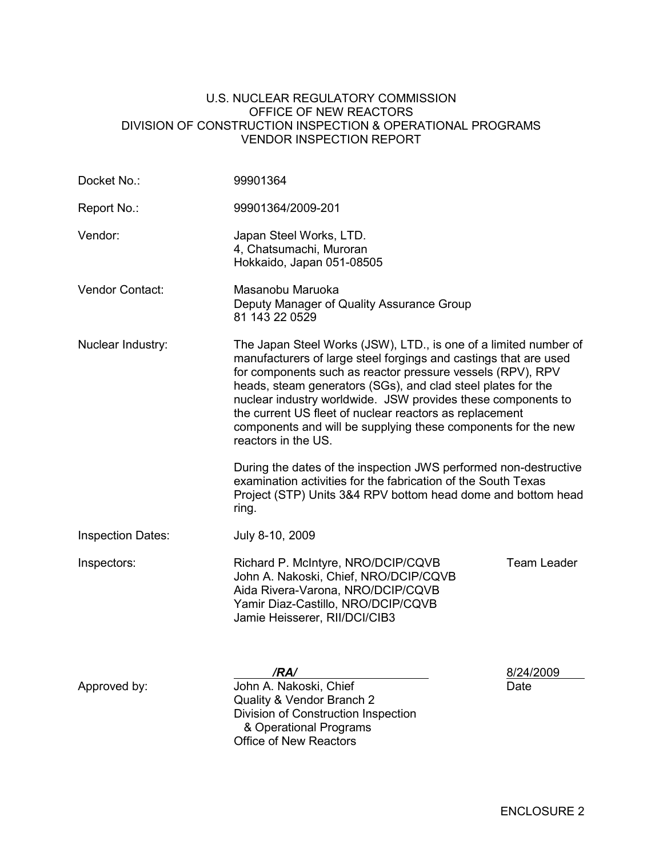#### U.S. NUCLEAR REGULATORY COMMISSION OFFICE OF NEW REACTORS DIVISION OF CONSTRUCTION INSPECTION & OPERATIONAL PROGRAMS VENDOR INSPECTION REPORT

| 99901364                                                                                                                                                                                |                                                                                                                                                                                                                                                                                                                                                                                                                                                                                                                                                                                                                                                                                                      |  |  |
|-----------------------------------------------------------------------------------------------------------------------------------------------------------------------------------------|------------------------------------------------------------------------------------------------------------------------------------------------------------------------------------------------------------------------------------------------------------------------------------------------------------------------------------------------------------------------------------------------------------------------------------------------------------------------------------------------------------------------------------------------------------------------------------------------------------------------------------------------------------------------------------------------------|--|--|
| 99901364/2009-201                                                                                                                                                                       |                                                                                                                                                                                                                                                                                                                                                                                                                                                                                                                                                                                                                                                                                                      |  |  |
| Japan Steel Works, LTD.<br>4, Chatsumachi, Muroran<br>Hokkaido, Japan 051-08505                                                                                                         |                                                                                                                                                                                                                                                                                                                                                                                                                                                                                                                                                                                                                                                                                                      |  |  |
| Vendor Contact:<br>Masanobu Maruoka<br>Deputy Manager of Quality Assurance Group<br>81 143 22 0529                                                                                      |                                                                                                                                                                                                                                                                                                                                                                                                                                                                                                                                                                                                                                                                                                      |  |  |
| reactors in the US.                                                                                                                                                                     |                                                                                                                                                                                                                                                                                                                                                                                                                                                                                                                                                                                                                                                                                                      |  |  |
| ring.                                                                                                                                                                                   |                                                                                                                                                                                                                                                                                                                                                                                                                                                                                                                                                                                                                                                                                                      |  |  |
| July 8-10, 2009                                                                                                                                                                         |                                                                                                                                                                                                                                                                                                                                                                                                                                                                                                                                                                                                                                                                                                      |  |  |
| Richard P. McIntyre, NRO/DCIP/CQVB<br>John A. Nakoski, Chief, NRO/DCIP/CQVB<br>Aida Rivera-Varona, NRO/DCIP/CQVB<br>Yamir Diaz-Castillo, NRO/DCIP/CQVB<br>Jamie Heisserer, RII/DCI/CIB3 | <b>Team Leader</b>                                                                                                                                                                                                                                                                                                                                                                                                                                                                                                                                                                                                                                                                                   |  |  |
| /RA/<br>John A. Nakoski, Chief<br>Quality & Vendor Branch 2<br>Division of Construction Inspection<br>& Operational Programs                                                            | 8/24/2009<br>Date                                                                                                                                                                                                                                                                                                                                                                                                                                                                                                                                                                                                                                                                                    |  |  |
|                                                                                                                                                                                         | The Japan Steel Works (JSW), LTD., is one of a limited number of<br>manufacturers of large steel forgings and castings that are used<br>for components such as reactor pressure vessels (RPV), RPV<br>heads, steam generators (SGs), and clad steel plates for the<br>nuclear industry worldwide. JSW provides these components to<br>the current US fleet of nuclear reactors as replacement<br>components and will be supplying these components for the new<br>During the dates of the inspection JWS performed non-destructive<br>examination activities for the fabrication of the South Texas<br>Project (STP) Units 3&4 RPV bottom head dome and bottom head<br><b>Office of New Reactors</b> |  |  |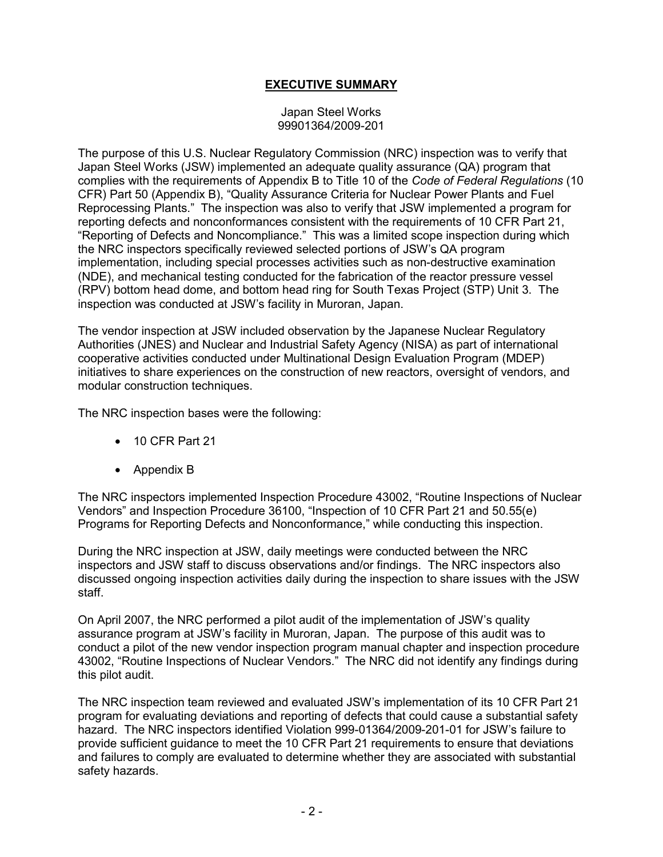## **EXECUTIVE SUMMARY**

#### Japan Steel Works 99901364/2009-201

The purpose of this U.S. Nuclear Regulatory Commission (NRC) inspection was to verify that Japan Steel Works (JSW) implemented an adequate quality assurance (QA) program that complies with the requirements of Appendix B to Title 10 of the *Code of Federal Regulations* (10 CFR) Part 50 (Appendix B), "Quality Assurance Criteria for Nuclear Power Plants and Fuel Reprocessing Plants." The inspection was also to verify that JSW implemented a program for reporting defects and nonconformances consistent with the requirements of 10 CFR Part 21, "Reporting of Defects and Noncompliance." This was a limited scope inspection during which the NRC inspectors specifically reviewed selected portions of JSW's QA program implementation, including special processes activities such as non-destructive examination (NDE), and mechanical testing conducted for the fabrication of the reactor pressure vessel (RPV) bottom head dome, and bottom head ring for South Texas Project (STP) Unit 3. The inspection was conducted at JSW's facility in Muroran, Japan.

The vendor inspection at JSW included observation by the Japanese Nuclear Regulatory Authorities (JNES) and Nuclear and Industrial Safety Agency (NISA) as part of international cooperative activities conducted under Multinational Design Evaluation Program (MDEP) initiatives to share experiences on the construction of new reactors, oversight of vendors, and modular construction techniques.

The NRC inspection bases were the following:

- 10 CFR Part 21
- Appendix B

The NRC inspectors implemented Inspection Procedure 43002, "Routine Inspections of Nuclear Vendors" and Inspection Procedure 36100, "Inspection of 10 CFR Part 21 and 50.55(e) Programs for Reporting Defects and Nonconformance," while conducting this inspection.

During the NRC inspection at JSW, daily meetings were conducted between the NRC inspectors and JSW staff to discuss observations and/or findings. The NRC inspectors also discussed ongoing inspection activities daily during the inspection to share issues with the JSW staff.

On April 2007, the NRC performed a pilot audit of the implementation of JSW's quality assurance program at JSW's facility in Muroran, Japan. The purpose of this audit was to conduct a pilot of the new vendor inspection program manual chapter and inspection procedure 43002, "Routine Inspections of Nuclear Vendors." The NRC did not identify any findings during this pilot audit.

The NRC inspection team reviewed and evaluated JSW's implementation of its 10 CFR Part 21 program for evaluating deviations and reporting of defects that could cause a substantial safety hazard. The NRC inspectors identified Violation 999-01364/2009-201-01 for JSW's failure to provide sufficient guidance to meet the 10 CFR Part 21 requirements to ensure that deviations and failures to comply are evaluated to determine whether they are associated with substantial safety hazards.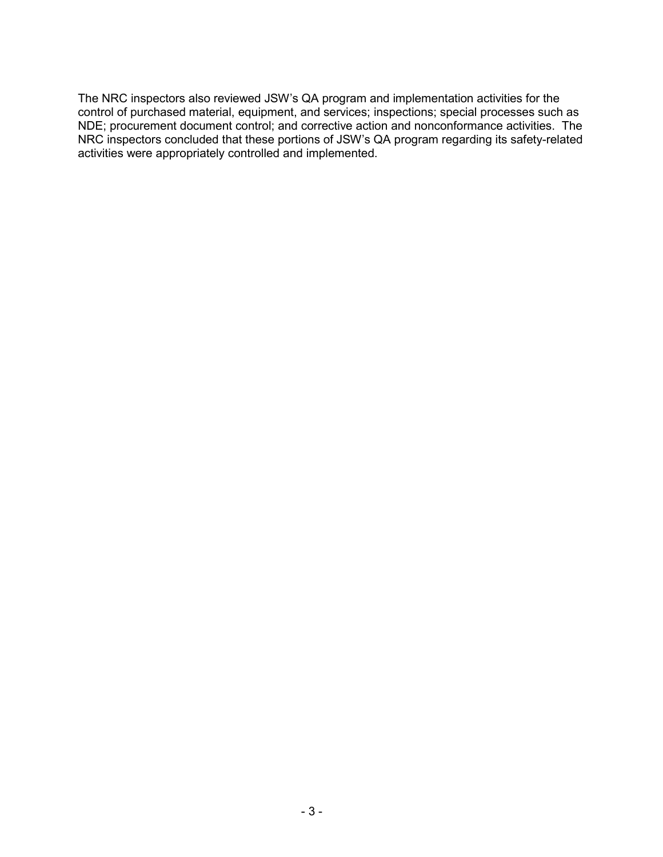The NRC inspectors also reviewed JSW's QA program and implementation activities for the control of purchased material, equipment, and services; inspections; special processes such as NDE; procurement document control; and corrective action and nonconformance activities. The NRC inspectors concluded that these portions of JSW's QA program regarding its safety-related activities were appropriately controlled and implemented.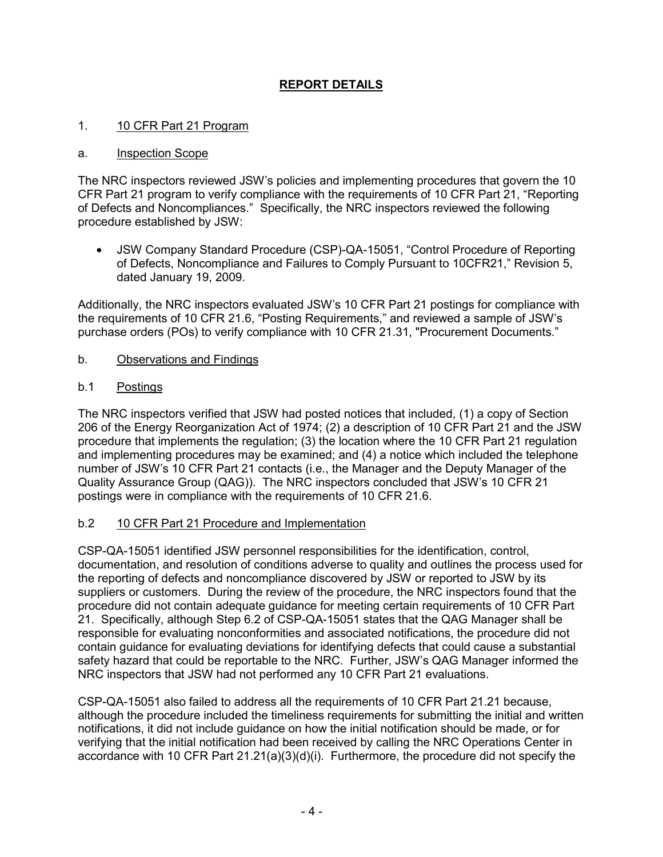# **REPORT DETAILS**

#### 1. 10 CFR Part 21 Program

#### a. Inspection Scope

The NRC inspectors reviewed JSW's policies and implementing procedures that govern the 10 CFR Part 21 program to verify compliance with the requirements of 10 CFR Part 21, "Reporting of Defects and Noncompliances." Specifically, the NRC inspectors reviewed the following procedure established by JSW:

• JSW Company Standard Procedure (CSP)-QA-15051, "Control Procedure of Reporting of Defects, Noncompliance and Failures to Comply Pursuant to 10CFR21," Revision 5, dated January 19, 2009.

Additionally, the NRC inspectors evaluated JSW's 10 CFR Part 21 postings for compliance with the requirements of 10 CFR 21.6, "Posting Requirements," and reviewed a sample of JSW's purchase orders (POs) to verify compliance with 10 CFR 21.31, "Procurement Documents."

b. Observations and Findings

#### b.1 Postings

The NRC inspectors verified that JSW had posted notices that included, (1) a copy of Section 206 of the Energy Reorganization Act of 1974; (2) a description of 10 CFR Part 21 and the JSW procedure that implements the regulation; (3) the location where the 10 CFR Part 21 regulation and implementing procedures may be examined; and (4) a notice which included the telephone number of JSW's 10 CFR Part 21 contacts (i.e., the Manager and the Deputy Manager of the Quality Assurance Group (QAG)). The NRC inspectors concluded that JSW's 10 CFR 21 postings were in compliance with the requirements of 10 CFR 21.6.

#### b.2 10 CFR Part 21 Procedure and Implementation

CSP-QA-15051 identified JSW personnel responsibilities for the identification, control, documentation, and resolution of conditions adverse to quality and outlines the process used for the reporting of defects and noncompliance discovered by JSW or reported to JSW by its suppliers or customers. During the review of the procedure, the NRC inspectors found that the procedure did not contain adequate guidance for meeting certain requirements of 10 CFR Part 21. Specifically, although Step 6.2 of CSP-QA-15051 states that the QAG Manager shall be responsible for evaluating nonconformities and associated notifications, the procedure did not contain guidance for evaluating deviations for identifying defects that could cause a substantial safety hazard that could be reportable to the NRC. Further, JSW's QAG Manager informed the NRC inspectors that JSW had not performed any 10 CFR Part 21 evaluations.

CSP-QA-15051 also failed to address all the requirements of 10 CFR Part 21.21 because, although the procedure included the timeliness requirements for submitting the initial and written notifications, it did not include guidance on how the initial notification should be made, or for verifying that the initial notification had been received by calling the NRC Operations Center in accordance with 10 CFR Part 21.21(a)(3)(d)(i). Furthermore, the procedure did not specify the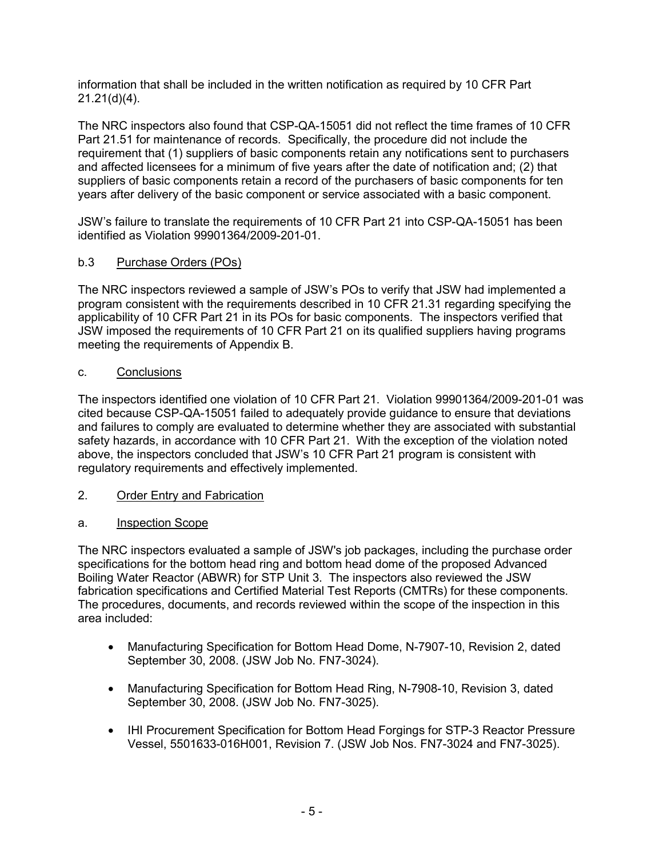information that shall be included in the written notification as required by 10 CFR Part 21.21(d)(4).

The NRC inspectors also found that CSP-QA-15051 did not reflect the time frames of 10 CFR Part 21.51 for maintenance of records. Specifically, the procedure did not include the requirement that (1) suppliers of basic components retain any notifications sent to purchasers and affected licensees for a minimum of five years after the date of notification and; (2) that suppliers of basic components retain a record of the purchasers of basic components for ten years after delivery of the basic component or service associated with a basic component.

JSW's failure to translate the requirements of 10 CFR Part 21 into CSP-QA-15051 has been identified as Violation 99901364/2009-201-01.

# b.3 Purchase Orders (POs)

The NRC inspectors reviewed a sample of JSW's POs to verify that JSW had implemented a program consistent with the requirements described in 10 CFR 21.31 regarding specifying the applicability of 10 CFR Part 21 in its POs for basic components. The inspectors verified that JSW imposed the requirements of 10 CFR Part 21 on its qualified suppliers having programs meeting the requirements of Appendix B.

## c. Conclusions

The inspectors identified one violation of 10 CFR Part 21. Violation 99901364/2009-201-01 was cited because CSP-QA-15051 failed to adequately provide guidance to ensure that deviations and failures to comply are evaluated to determine whether they are associated with substantial safety hazards, in accordance with 10 CFR Part 21. With the exception of the violation noted above, the inspectors concluded that JSW's 10 CFR Part 21 program is consistent with regulatory requirements and effectively implemented.

## 2. Order Entry and Fabrication

## a. Inspection Scope

The NRC inspectors evaluated a sample of JSW's job packages, including the purchase order specifications for the bottom head ring and bottom head dome of the proposed Advanced Boiling Water Reactor (ABWR) for STP Unit 3. The inspectors also reviewed the JSW fabrication specifications and Certified Material Test Reports (CMTRs) for these components. The procedures, documents, and records reviewed within the scope of the inspection in this area included:

- Manufacturing Specification for Bottom Head Dome, N-7907-10, Revision 2, dated September 30, 2008. (JSW Job No. FN7-3024).
- Manufacturing Specification for Bottom Head Ring, N-7908-10, Revision 3, dated September 30, 2008. (JSW Job No. FN7-3025).
- IHI Procurement Specification for Bottom Head Forgings for STP-3 Reactor Pressure Vessel, 5501633-016H001, Revision 7. (JSW Job Nos. FN7-3024 and FN7-3025).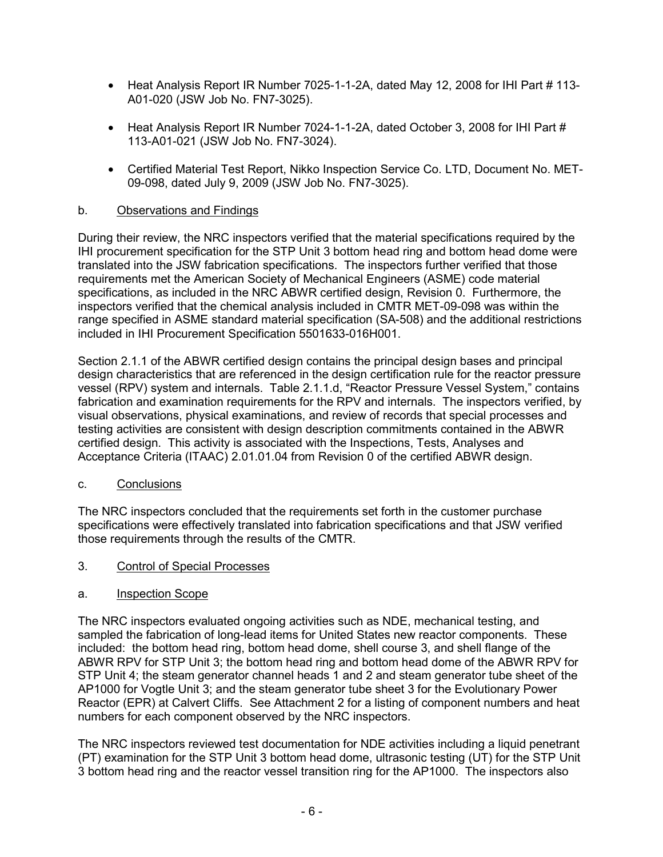- Heat Analysis Report IR Number 7025-1-1-2A, dated May 12, 2008 for IHI Part # 113-A01-020 (JSW Job No. FN7-3025).
- Heat Analysis Report IR Number 7024-1-1-2A, dated October 3, 2008 for IHI Part # 113-A01-021 (JSW Job No. FN7-3024).
- Certified Material Test Report, Nikko Inspection Service Co. LTD, Document No. MET-09-098, dated July 9, 2009 (JSW Job No. FN7-3025).

#### b. Observations and Findings

During their review, the NRC inspectors verified that the material specifications required by the IHI procurement specification for the STP Unit 3 bottom head ring and bottom head dome were translated into the JSW fabrication specifications. The inspectors further verified that those requirements met the American Society of Mechanical Engineers (ASME) code material specifications, as included in the NRC ABWR certified design, Revision 0. Furthermore, the inspectors verified that the chemical analysis included in CMTR MET-09-098 was within the range specified in ASME standard material specification (SA-508) and the additional restrictions included in IHI Procurement Specification 5501633-016H001.

Section 2.1.1 of the ABWR certified design contains the principal design bases and principal design characteristics that are referenced in the design certification rule for the reactor pressure vessel (RPV) system and internals. Table 2.1.1.d, "Reactor Pressure Vessel System," contains fabrication and examination requirements for the RPV and internals. The inspectors verified, by visual observations, physical examinations, and review of records that special processes and testing activities are consistent with design description commitments contained in the ABWR certified design. This activity is associated with the Inspections, Tests, Analyses and Acceptance Criteria (ITAAC) 2.01.01.04 from Revision 0 of the certified ABWR design.

#### c. Conclusions

The NRC inspectors concluded that the requirements set forth in the customer purchase specifications were effectively translated into fabrication specifications and that JSW verified those requirements through the results of the CMTR.

3. Control of Special Processes

#### a. Inspection Scope

The NRC inspectors evaluated ongoing activities such as NDE, mechanical testing, and sampled the fabrication of long-lead items for United States new reactor components. These included: the bottom head ring, bottom head dome, shell course 3, and shell flange of the ABWR RPV for STP Unit 3; the bottom head ring and bottom head dome of the ABWR RPV for STP Unit 4; the steam generator channel heads 1 and 2 and steam generator tube sheet of the AP1000 for Vogtle Unit 3; and the steam generator tube sheet 3 for the Evolutionary Power Reactor (EPR) at Calvert Cliffs. See Attachment 2 for a listing of component numbers and heat numbers for each component observed by the NRC inspectors.

The NRC inspectors reviewed test documentation for NDE activities including a liquid penetrant (PT) examination for the STP Unit 3 bottom head dome, ultrasonic testing (UT) for the STP Unit 3 bottom head ring and the reactor vessel transition ring for the AP1000. The inspectors also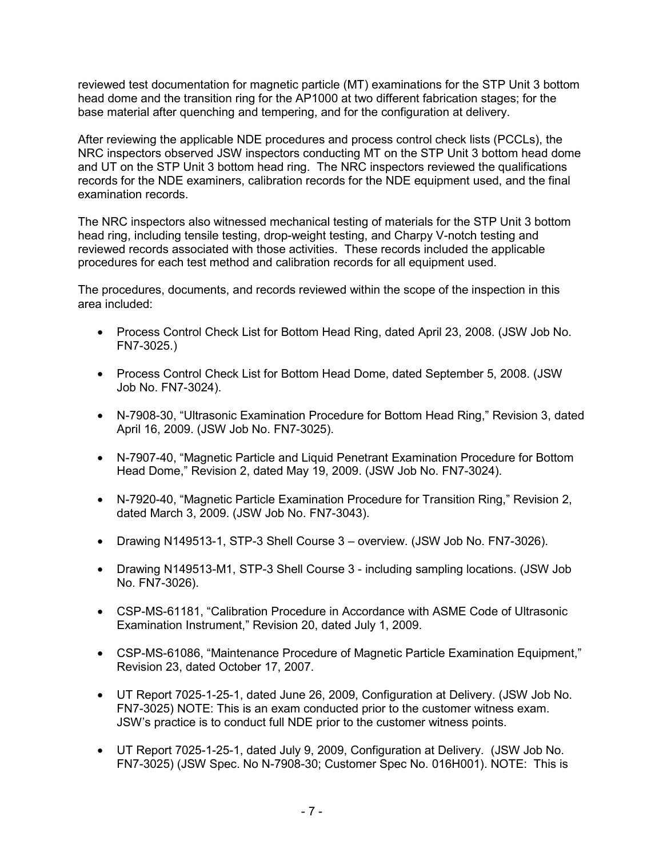reviewed test documentation for magnetic particle (MT) examinations for the STP Unit 3 bottom head dome and the transition ring for the AP1000 at two different fabrication stages; for the base material after quenching and tempering, and for the configuration at delivery.

After reviewing the applicable NDE procedures and process control check lists (PCCLs), the NRC inspectors observed JSW inspectors conducting MT on the STP Unit 3 bottom head dome and UT on the STP Unit 3 bottom head ring. The NRC inspectors reviewed the qualifications records for the NDE examiners, calibration records for the NDE equipment used, and the final examination records.

The NRC inspectors also witnessed mechanical testing of materials for the STP Unit 3 bottom head ring, including tensile testing, drop-weight testing, and Charpy V-notch testing and reviewed records associated with those activities. These records included the applicable procedures for each test method and calibration records for all equipment used.

The procedures, documents, and records reviewed within the scope of the inspection in this area included:

- Process Control Check List for Bottom Head Ring, dated April 23, 2008. (JSW Job No. FN7-3025.)
- Process Control Check List for Bottom Head Dome, dated September 5, 2008. (JSW Job No. FN7-3024).
- N-7908-30, "Ultrasonic Examination Procedure for Bottom Head Ring," Revision 3, dated April 16, 2009. (JSW Job No. FN7-3025).
- N-7907-40, "Magnetic Particle and Liquid Penetrant Examination Procedure for Bottom Head Dome," Revision 2, dated May 19, 2009. (JSW Job No. FN7-3024).
- N-7920-40, "Magnetic Particle Examination Procedure for Transition Ring," Revision 2, dated March 3, 2009. (JSW Job No. FN7-3043).
- Drawing N149513-1, STP-3 Shell Course 3 overview. (JSW Job No. FN7-3026).
- Drawing N149513-M1, STP-3 Shell Course 3 including sampling locations. (JSW Job No. FN7-3026).
- CSP-MS-61181, "Calibration Procedure in Accordance with ASME Code of Ultrasonic Examination Instrument," Revision 20, dated July 1, 2009.
- CSP-MS-61086, "Maintenance Procedure of Magnetic Particle Examination Equipment," Revision 23, dated October 17, 2007.
- UT Report 7025-1-25-1, dated June 26, 2009, Configuration at Delivery. (JSW Job No. FN7-3025) NOTE: This is an exam conducted prior to the customer witness exam. JSW's practice is to conduct full NDE prior to the customer witness points.
- UT Report 7025-1-25-1, dated July 9, 2009, Configuration at Delivery. (JSW Job No. FN7-3025) (JSW Spec. No N-7908-30; Customer Spec No. 016H001). NOTE: This is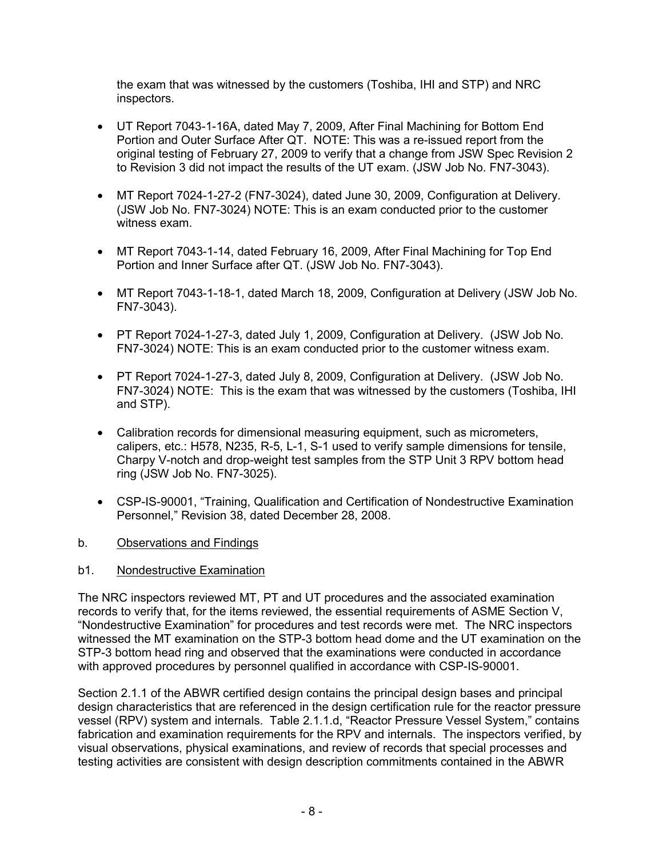the exam that was witnessed by the customers (Toshiba, IHI and STP) and NRC inspectors.

- UT Report 7043-1-16A, dated May 7, 2009, After Final Machining for Bottom End Portion and Outer Surface After QT. NOTE: This was a re-issued report from the original testing of February 27, 2009 to verify that a change from JSW Spec Revision 2 to Revision 3 did not impact the results of the UT exam. (JSW Job No. FN7-3043).
- MT Report 7024-1-27-2 (FN7-3024), dated June 30, 2009, Configuration at Delivery. (JSW Job No. FN7-3024) NOTE: This is an exam conducted prior to the customer witness exam.
- MT Report 7043-1-14, dated February 16, 2009, After Final Machining for Top End Portion and Inner Surface after QT. (JSW Job No. FN7-3043).
- MT Report 7043-1-18-1, dated March 18, 2009, Configuration at Delivery (JSW Job No. FN7-3043).
- PT Report 7024-1-27-3, dated July 1, 2009, Configuration at Delivery. (JSW Job No. FN7-3024) NOTE: This is an exam conducted prior to the customer witness exam.
- PT Report 7024-1-27-3, dated July 8, 2009, Configuration at Delivery. (JSW Job No. FN7-3024) NOTE: This is the exam that was witnessed by the customers (Toshiba, IHI and STP).
- Calibration records for dimensional measuring equipment, such as micrometers, calipers, etc.: H578, N235, R-5, L-1, S-1 used to verify sample dimensions for tensile, Charpy V-notch and drop-weight test samples from the STP Unit 3 RPV bottom head ring (JSW Job No. FN7-3025).
- CSP-IS-90001, "Training, Qualification and Certification of Nondestructive Examination Personnel," Revision 38, dated December 28, 2008.

## b. Observations and Findings

#### b1. Nondestructive Examination

The NRC inspectors reviewed MT, PT and UT procedures and the associated examination records to verify that, for the items reviewed, the essential requirements of ASME Section V, "Nondestructive Examination" for procedures and test records were met. The NRC inspectors witnessed the MT examination on the STP-3 bottom head dome and the UT examination on the STP-3 bottom head ring and observed that the examinations were conducted in accordance with approved procedures by personnel qualified in accordance with CSP-IS-90001.

Section 2.1.1 of the ABWR certified design contains the principal design bases and principal design characteristics that are referenced in the design certification rule for the reactor pressure vessel (RPV) system and internals. Table 2.1.1.d, "Reactor Pressure Vessel System," contains fabrication and examination requirements for the RPV and internals. The inspectors verified, by visual observations, physical examinations, and review of records that special processes and testing activities are consistent with design description commitments contained in the ABWR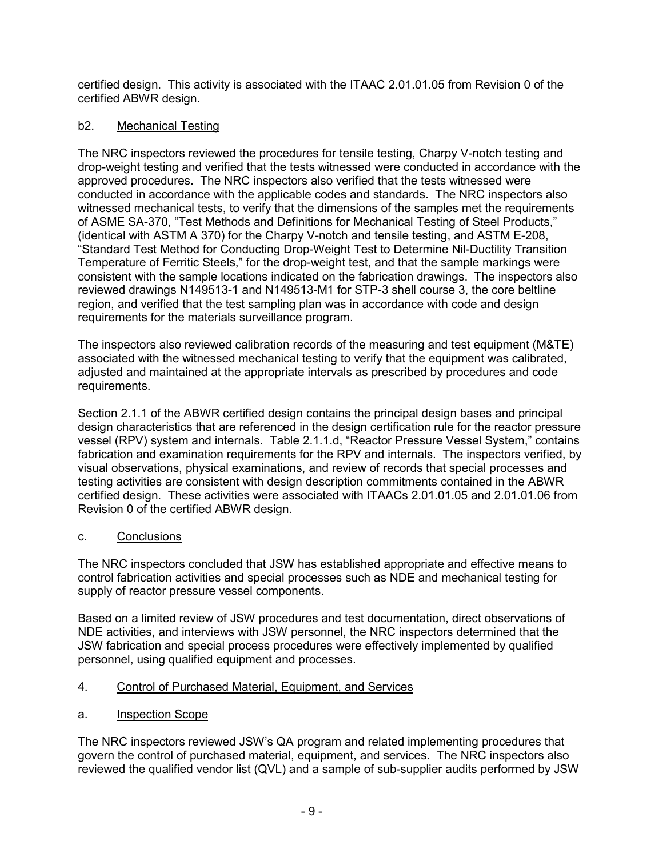certified design. This activity is associated with the ITAAC 2.01.01.05 from Revision 0 of the certified ABWR design.

# b2. Mechanical Testing

The NRC inspectors reviewed the procedures for tensile testing, Charpy V-notch testing and drop-weight testing and verified that the tests witnessed were conducted in accordance with the approved procedures. The NRC inspectors also verified that the tests witnessed were conducted in accordance with the applicable codes and standards. The NRC inspectors also witnessed mechanical tests, to verify that the dimensions of the samples met the requirements of ASME SA-370, "Test Methods and Definitions for Mechanical Testing of Steel Products," (identical with ASTM A 370) for the Charpy V-notch and tensile testing, and ASTM E-208, "Standard Test Method for Conducting Drop-Weight Test to Determine Nil-Ductility Transition Temperature of Ferritic Steels," for the drop-weight test, and that the sample markings were consistent with the sample locations indicated on the fabrication drawings. The inspectors also reviewed drawings N149513-1 and N149513-M1 for STP-3 shell course 3, the core beltline region, and verified that the test sampling plan was in accordance with code and design requirements for the materials surveillance program.

The inspectors also reviewed calibration records of the measuring and test equipment (M&TE) associated with the witnessed mechanical testing to verify that the equipment was calibrated, adjusted and maintained at the appropriate intervals as prescribed by procedures and code requirements.

Section 2.1.1 of the ABWR certified design contains the principal design bases and principal design characteristics that are referenced in the design certification rule for the reactor pressure vessel (RPV) system and internals. Table 2.1.1.d, "Reactor Pressure Vessel System," contains fabrication and examination requirements for the RPV and internals. The inspectors verified, by visual observations, physical examinations, and review of records that special processes and testing activities are consistent with design description commitments contained in the ABWR certified design. These activities were associated with ITAACs 2.01.01.05 and 2.01.01.06 from Revision 0 of the certified ABWR design.

## c. Conclusions

The NRC inspectors concluded that JSW has established appropriate and effective means to control fabrication activities and special processes such as NDE and mechanical testing for supply of reactor pressure vessel components.

Based on a limited review of JSW procedures and test documentation, direct observations of NDE activities, and interviews with JSW personnel, the NRC inspectors determined that the JSW fabrication and special process procedures were effectively implemented by qualified personnel, using qualified equipment and processes.

- 4. Control of Purchased Material, Equipment, and Services
- a. Inspection Scope

The NRC inspectors reviewed JSW's QA program and related implementing procedures that govern the control of purchased material, equipment, and services. The NRC inspectors also reviewed the qualified vendor list (QVL) and a sample of sub-supplier audits performed by JSW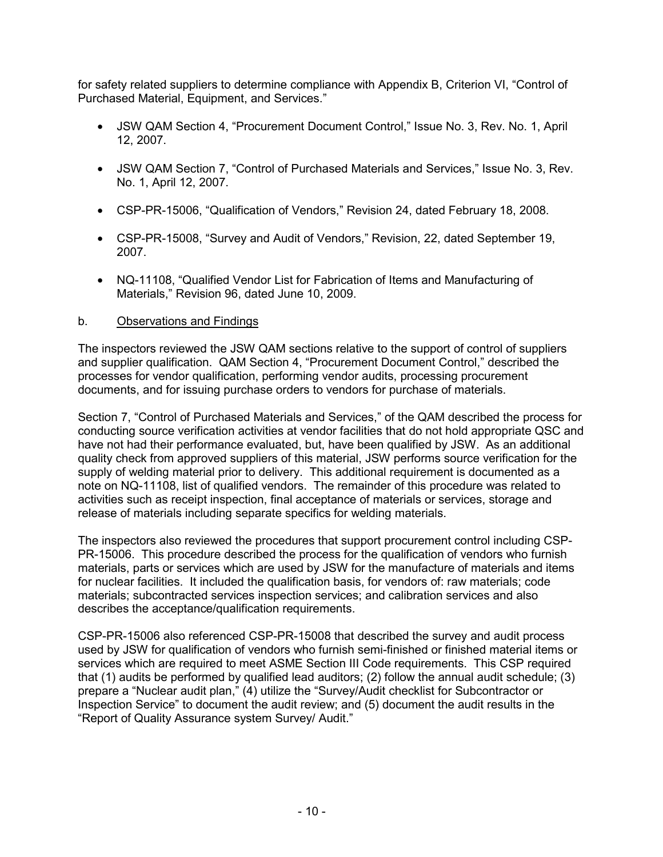for safety related suppliers to determine compliance with Appendix B, Criterion VI, "Control of Purchased Material, Equipment, and Services."

- JSW QAM Section 4, "Procurement Document Control," Issue No. 3, Rev. No. 1, April 12, 2007.
- JSW QAM Section 7, "Control of Purchased Materials and Services," Issue No. 3, Rev. No. 1, April 12, 2007.
- CSP-PR-15006, "Qualification of Vendors," Revision 24, dated February 18, 2008.
- CSP-PR-15008, "Survey and Audit of Vendors," Revision, 22, dated September 19, 2007.
- NQ-11108, "Qualified Vendor List for Fabrication of Items and Manufacturing of Materials," Revision 96, dated June 10, 2009.

#### b. Observations and Findings

The inspectors reviewed the JSW QAM sections relative to the support of control of suppliers and supplier qualification. QAM Section 4, "Procurement Document Control," described the processes for vendor qualification, performing vendor audits, processing procurement documents, and for issuing purchase orders to vendors for purchase of materials.

Section 7, "Control of Purchased Materials and Services," of the QAM described the process for conducting source verification activities at vendor facilities that do not hold appropriate QSC and have not had their performance evaluated, but, have been qualified by JSW. As an additional quality check from approved suppliers of this material, JSW performs source verification for the supply of welding material prior to delivery. This additional requirement is documented as a note on NQ-11108, list of qualified vendors. The remainder of this procedure was related to activities such as receipt inspection, final acceptance of materials or services, storage and release of materials including separate specifics for welding materials.

The inspectors also reviewed the procedures that support procurement control including CSP-PR-15006. This procedure described the process for the qualification of vendors who furnish materials, parts or services which are used by JSW for the manufacture of materials and items for nuclear facilities. It included the qualification basis, for vendors of: raw materials; code materials; subcontracted services inspection services; and calibration services and also describes the acceptance/qualification requirements.

CSP-PR-15006 also referenced CSP-PR-15008 that described the survey and audit process used by JSW for qualification of vendors who furnish semi-finished or finished material items or services which are required to meet ASME Section III Code requirements. This CSP required that (1) audits be performed by qualified lead auditors; (2) follow the annual audit schedule; (3) prepare a "Nuclear audit plan," (4) utilize the "Survey/Audit checklist for Subcontractor or Inspection Service" to document the audit review; and (5) document the audit results in the "Report of Quality Assurance system Survey/ Audit."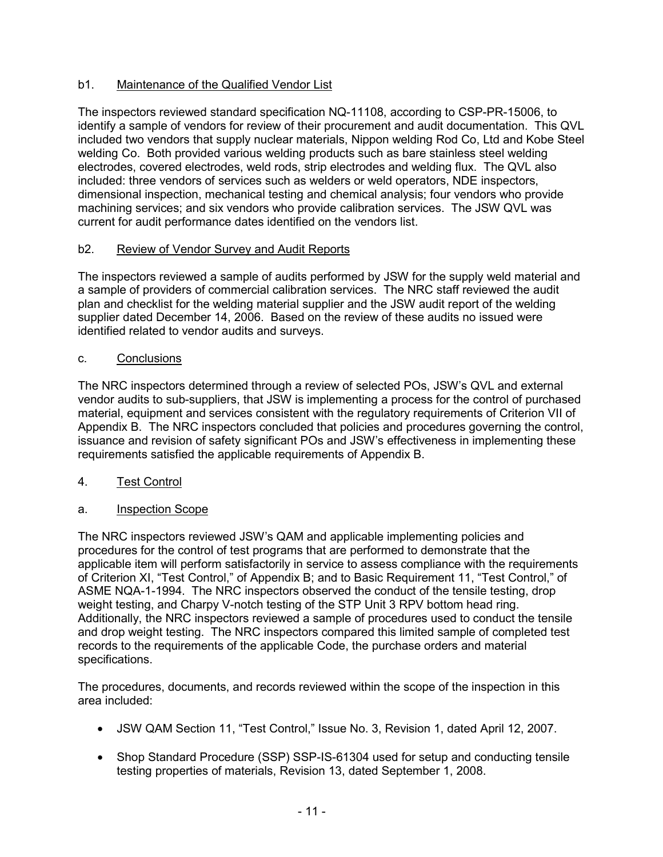## b1. Maintenance of the Qualified Vendor List

The inspectors reviewed standard specification NQ-11108, according to CSP-PR-15006, to identify a sample of vendors for review of their procurement and audit documentation. This QVL included two vendors that supply nuclear materials, Nippon welding Rod Co, Ltd and Kobe Steel welding Co. Both provided various welding products such as bare stainless steel welding electrodes, covered electrodes, weld rods, strip electrodes and welding flux. The QVL also included: three vendors of services such as welders or weld operators, NDE inspectors, dimensional inspection, mechanical testing and chemical analysis; four vendors who provide machining services; and six vendors who provide calibration services. The JSW QVL was current for audit performance dates identified on the vendors list.

## b2. Review of Vendor Survey and Audit Reports

The inspectors reviewed a sample of audits performed by JSW for the supply weld material and a sample of providers of commercial calibration services. The NRC staff reviewed the audit plan and checklist for the welding material supplier and the JSW audit report of the welding supplier dated December 14, 2006. Based on the review of these audits no issued were identified related to vendor audits and surveys.

## c. Conclusions

The NRC inspectors determined through a review of selected POs, JSW's QVL and external vendor audits to sub-suppliers, that JSW is implementing a process for the control of purchased material, equipment and services consistent with the regulatory requirements of Criterion VII of Appendix B. The NRC inspectors concluded that policies and procedures governing the control, issuance and revision of safety significant POs and JSW's effectiveness in implementing these requirements satisfied the applicable requirements of Appendix B.

## 4. Test Control

## a. Inspection Scope

The NRC inspectors reviewed JSW's QAM and applicable implementing policies and procedures for the control of test programs that are performed to demonstrate that the applicable item will perform satisfactorily in service to assess compliance with the requirements of Criterion XI, "Test Control," of Appendix B; and to Basic Requirement 11, "Test Control," of ASME NQA-1-1994. The NRC inspectors observed the conduct of the tensile testing, drop weight testing, and Charpy V-notch testing of the STP Unit 3 RPV bottom head ring. Additionally, the NRC inspectors reviewed a sample of procedures used to conduct the tensile and drop weight testing. The NRC inspectors compared this limited sample of completed test records to the requirements of the applicable Code, the purchase orders and material specifications.

The procedures, documents, and records reviewed within the scope of the inspection in this area included:

- JSW QAM Section 11, "Test Control," Issue No. 3, Revision 1, dated April 12, 2007.
- Shop Standard Procedure (SSP) SSP-IS-61304 used for setup and conducting tensile testing properties of materials, Revision 13, dated September 1, 2008.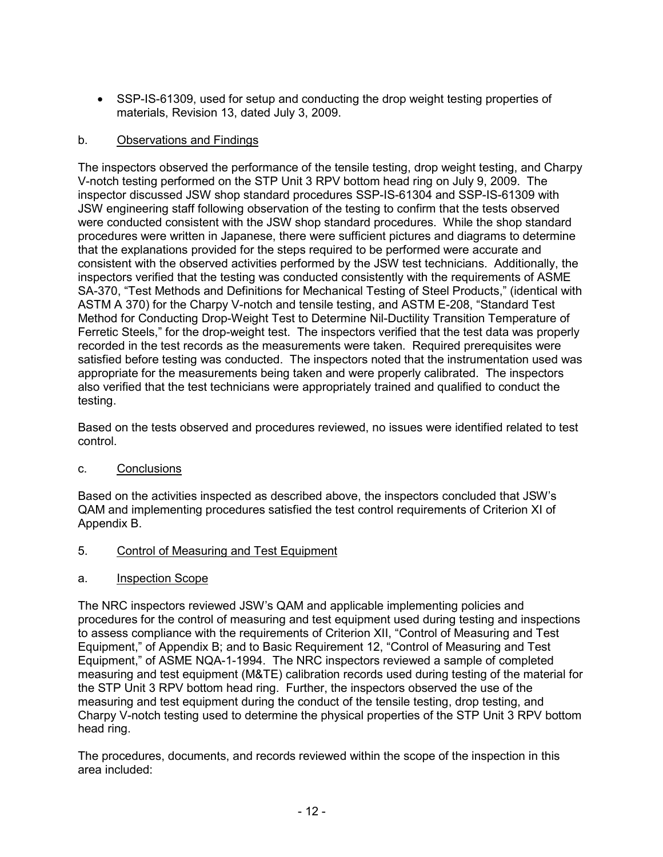• SSP-IS-61309, used for setup and conducting the drop weight testing properties of materials, Revision 13, dated July 3, 2009.

## b. Observations and Findings

The inspectors observed the performance of the tensile testing, drop weight testing, and Charpy V-notch testing performed on the STP Unit 3 RPV bottom head ring on July 9, 2009. The inspector discussed JSW shop standard procedures SSP-IS-61304 and SSP-IS-61309 with JSW engineering staff following observation of the testing to confirm that the tests observed were conducted consistent with the JSW shop standard procedures. While the shop standard procedures were written in Japanese, there were sufficient pictures and diagrams to determine that the explanations provided for the steps required to be performed were accurate and consistent with the observed activities performed by the JSW test technicians. Additionally, the inspectors verified that the testing was conducted consistently with the requirements of ASME SA-370, "Test Methods and Definitions for Mechanical Testing of Steel Products," (identical with ASTM A 370) for the Charpy V-notch and tensile testing, and ASTM E-208, "Standard Test Method for Conducting Drop-Weight Test to Determine Nil-Ductility Transition Temperature of Ferretic Steels," for the drop-weight test. The inspectors verified that the test data was properly recorded in the test records as the measurements were taken. Required prerequisites were satisfied before testing was conducted. The inspectors noted that the instrumentation used was appropriate for the measurements being taken and were properly calibrated. The inspectors also verified that the test technicians were appropriately trained and qualified to conduct the testing.

Based on the tests observed and procedures reviewed, no issues were identified related to test control.

## c. Conclusions

Based on the activities inspected as described above, the inspectors concluded that JSW's QAM and implementing procedures satisfied the test control requirements of Criterion XI of Appendix B.

- 5. Control of Measuring and Test Equipment
- a. Inspection Scope

The NRC inspectors reviewed JSW's QAM and applicable implementing policies and procedures for the control of measuring and test equipment used during testing and inspections to assess compliance with the requirements of Criterion XII, "Control of Measuring and Test Equipment," of Appendix B; and to Basic Requirement 12, "Control of Measuring and Test Equipment," of ASME NQA-1-1994. The NRC inspectors reviewed a sample of completed measuring and test equipment (M&TE) calibration records used during testing of the material for the STP Unit 3 RPV bottom head ring. Further, the inspectors observed the use of the measuring and test equipment during the conduct of the tensile testing, drop testing, and Charpy V-notch testing used to determine the physical properties of the STP Unit 3 RPV bottom head ring.

The procedures, documents, and records reviewed within the scope of the inspection in this area included: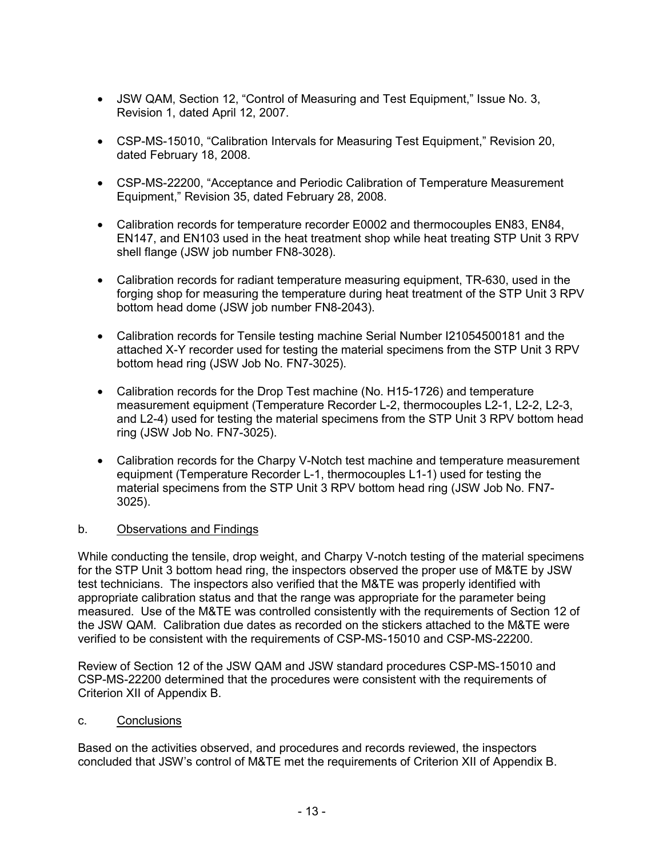- JSW QAM, Section 12, "Control of Measuring and Test Equipment," Issue No. 3, Revision 1, dated April 12, 2007.
- CSP-MS-15010, "Calibration Intervals for Measuring Test Equipment," Revision 20, dated February 18, 2008.
- CSP-MS-22200, "Acceptance and Periodic Calibration of Temperature Measurement Equipment," Revision 35, dated February 28, 2008.
- Calibration records for temperature recorder E0002 and thermocouples EN83, EN84, EN147, and EN103 used in the heat treatment shop while heat treating STP Unit 3 RPV shell flange (JSW job number FN8-3028).
- Calibration records for radiant temperature measuring equipment, TR-630, used in the forging shop for measuring the temperature during heat treatment of the STP Unit 3 RPV bottom head dome (JSW job number FN8-2043).
- Calibration records for Tensile testing machine Serial Number I21054500181 and the attached X-Y recorder used for testing the material specimens from the STP Unit 3 RPV bottom head ring (JSW Job No. FN7-3025).
- Calibration records for the Drop Test machine (No. H15-1726) and temperature measurement equipment (Temperature Recorder L-2, thermocouples L2-1, L2-2, L2-3, and L2-4) used for testing the material specimens from the STP Unit 3 RPV bottom head ring (JSW Job No. FN7-3025).
- Calibration records for the Charpy V-Notch test machine and temperature measurement equipment (Temperature Recorder L-1, thermocouples L1-1) used for testing the material specimens from the STP Unit 3 RPV bottom head ring (JSW Job No. FN7- 3025).

#### b. Observations and Findings

While conducting the tensile, drop weight, and Charpy V-notch testing of the material specimens for the STP Unit 3 bottom head ring, the inspectors observed the proper use of M&TE by JSW test technicians. The inspectors also verified that the M&TE was properly identified with appropriate calibration status and that the range was appropriate for the parameter being measured. Use of the M&TE was controlled consistently with the requirements of Section 12 of the JSW QAM. Calibration due dates as recorded on the stickers attached to the M&TE were verified to be consistent with the requirements of CSP-MS-15010 and CSP-MS-22200.

Review of Section 12 of the JSW QAM and JSW standard procedures CSP-MS-15010 and CSP-MS-22200 determined that the procedures were consistent with the requirements of Criterion XII of Appendix B.

#### c. Conclusions

Based on the activities observed, and procedures and records reviewed, the inspectors concluded that JSW's control of M&TE met the requirements of Criterion XII of Appendix B.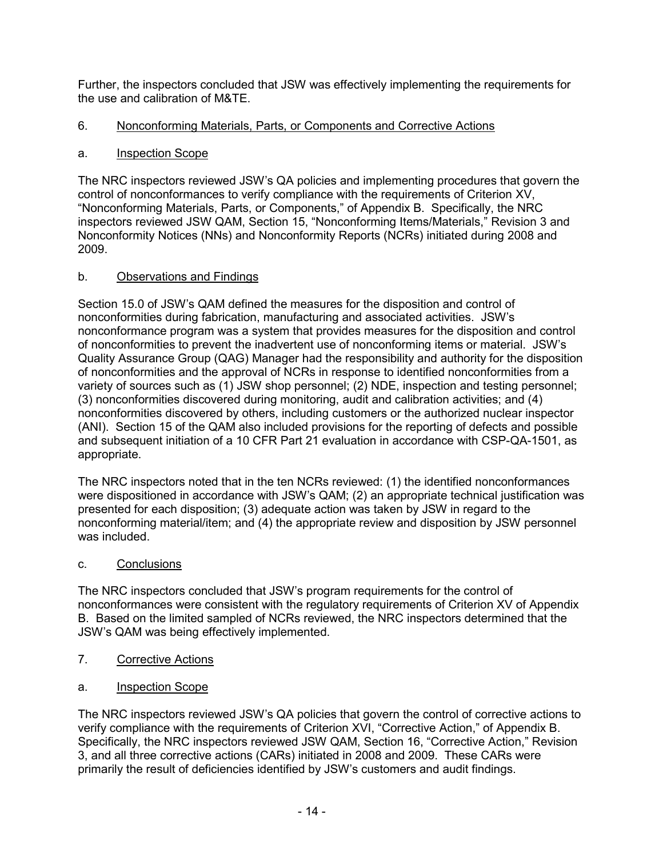Further, the inspectors concluded that JSW was effectively implementing the requirements for the use and calibration of M&TE.

## 6. Nonconforming Materials, Parts, or Components and Corrective Actions

## a. Inspection Scope

The NRC inspectors reviewed JSW's QA policies and implementing procedures that govern the control of nonconformances to verify compliance with the requirements of Criterion XV, "Nonconforming Materials, Parts, or Components," of Appendix B. Specifically, the NRC inspectors reviewed JSW QAM, Section 15, "Nonconforming Items/Materials," Revision 3 and Nonconformity Notices (NNs) and Nonconformity Reports (NCRs) initiated during 2008 and 2009.

# b. Observations and Findings

Section 15.0 of JSW's QAM defined the measures for the disposition and control of nonconformities during fabrication, manufacturing and associated activities. JSW's nonconformance program was a system that provides measures for the disposition and control of nonconformities to prevent the inadvertent use of nonconforming items or material. JSW's Quality Assurance Group (QAG) Manager had the responsibility and authority for the disposition of nonconformities and the approval of NCRs in response to identified nonconformities from a variety of sources such as (1) JSW shop personnel; (2) NDE, inspection and testing personnel; (3) nonconformities discovered during monitoring, audit and calibration activities; and (4) nonconformities discovered by others, including customers or the authorized nuclear inspector (ANI). Section 15 of the QAM also included provisions for the reporting of defects and possible and subsequent initiation of a 10 CFR Part 21 evaluation in accordance with CSP-QA-1501, as appropriate.

The NRC inspectors noted that in the ten NCRs reviewed: (1) the identified nonconformances were dispositioned in accordance with JSW's QAM; (2) an appropriate technical justification was presented for each disposition; (3) adequate action was taken by JSW in regard to the nonconforming material/item; and (4) the appropriate review and disposition by JSW personnel was included.

## c. Conclusions

The NRC inspectors concluded that JSW's program requirements for the control of nonconformances were consistent with the regulatory requirements of Criterion XV of Appendix B. Based on the limited sampled of NCRs reviewed, the NRC inspectors determined that the JSW's QAM was being effectively implemented.

- 7. Corrective Actions
- a. Inspection Scope

The NRC inspectors reviewed JSW's QA policies that govern the control of corrective actions to verify compliance with the requirements of Criterion XVI, "Corrective Action," of Appendix B. Specifically, the NRC inspectors reviewed JSW QAM, Section 16, "Corrective Action," Revision 3, and all three corrective actions (CARs) initiated in 2008 and 2009. These CARs were primarily the result of deficiencies identified by JSW's customers and audit findings.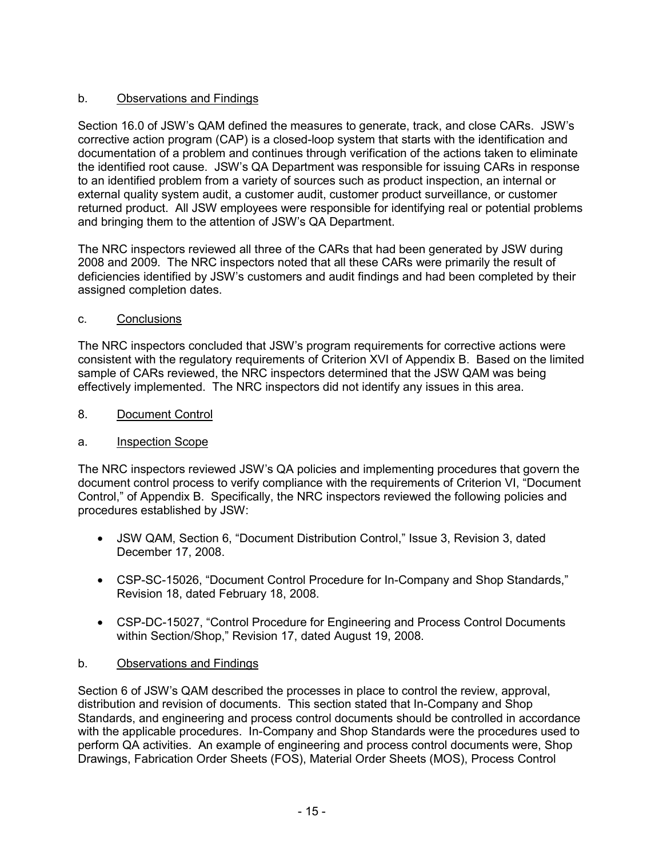# b. Observations and Findings

Section 16.0 of JSW's QAM defined the measures to generate, track, and close CARs. JSW's corrective action program (CAP) is a closed-loop system that starts with the identification and documentation of a problem and continues through verification of the actions taken to eliminate the identified root cause. JSW's QA Department was responsible for issuing CARs in response to an identified problem from a variety of sources such as product inspection, an internal or external quality system audit, a customer audit, customer product surveillance, or customer returned product. All JSW employees were responsible for identifying real or potential problems and bringing them to the attention of JSW's QA Department.

The NRC inspectors reviewed all three of the CARs that had been generated by JSW during 2008 and 2009. The NRC inspectors noted that all these CARs were primarily the result of deficiencies identified by JSW's customers and audit findings and had been completed by their assigned completion dates.

#### c. Conclusions

The NRC inspectors concluded that JSW's program requirements for corrective actions were consistent with the regulatory requirements of Criterion XVI of Appendix B. Based on the limited sample of CARs reviewed, the NRC inspectors determined that the JSW QAM was being effectively implemented. The NRC inspectors did not identify any issues in this area.

8. Document Control

## a. Inspection Scope

The NRC inspectors reviewed JSW's QA policies and implementing procedures that govern the document control process to verify compliance with the requirements of Criterion VI, "Document Control," of Appendix B. Specifically, the NRC inspectors reviewed the following policies and procedures established by JSW:

- JSW QAM, Section 6, "Document Distribution Control," Issue 3, Revision 3, dated December 17, 2008.
- CSP-SC-15026, "Document Control Procedure for In-Company and Shop Standards," Revision 18, dated February 18, 2008.
- CSP-DC-15027, "Control Procedure for Engineering and Process Control Documents within Section/Shop," Revision 17, dated August 19, 2008.

## b. Observations and Findings

Section 6 of JSW's QAM described the processes in place to control the review, approval, distribution and revision of documents. This section stated that In-Company and Shop Standards, and engineering and process control documents should be controlled in accordance with the applicable procedures. In-Company and Shop Standards were the procedures used to perform QA activities. An example of engineering and process control documents were, Shop Drawings, Fabrication Order Sheets (FOS), Material Order Sheets (MOS), Process Control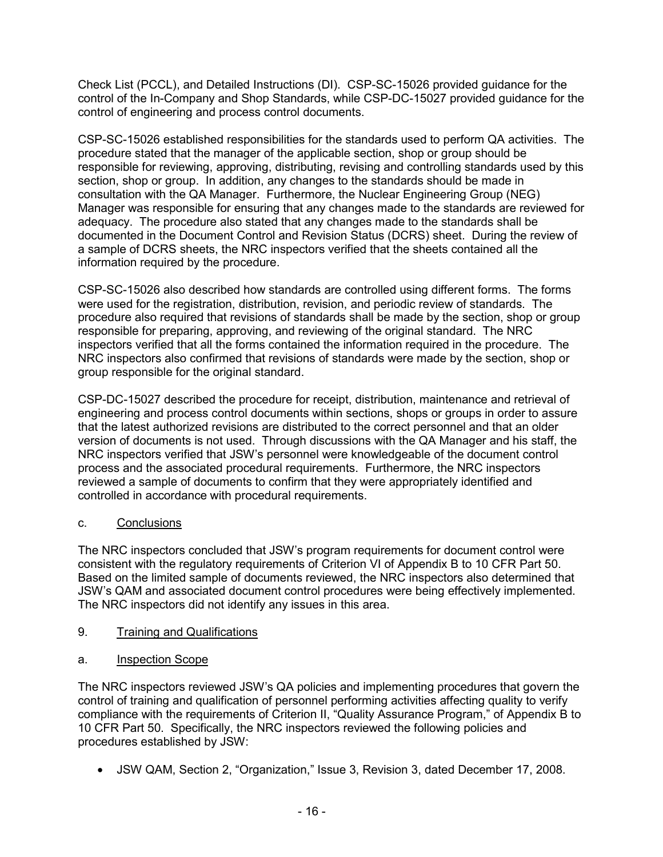Check List (PCCL), and Detailed Instructions (DI). CSP-SC-15026 provided guidance for the control of the In-Company and Shop Standards, while CSP-DC-15027 provided guidance for the control of engineering and process control documents.

CSP-SC-15026 established responsibilities for the standards used to perform QA activities. The procedure stated that the manager of the applicable section, shop or group should be responsible for reviewing, approving, distributing, revising and controlling standards used by this section, shop or group. In addition, any changes to the standards should be made in consultation with the QA Manager. Furthermore, the Nuclear Engineering Group (NEG) Manager was responsible for ensuring that any changes made to the standards are reviewed for adequacy. The procedure also stated that any changes made to the standards shall be documented in the Document Control and Revision Status (DCRS) sheet. During the review of a sample of DCRS sheets, the NRC inspectors verified that the sheets contained all the information required by the procedure.

CSP-SC-15026 also described how standards are controlled using different forms. The forms were used for the registration, distribution, revision, and periodic review of standards. The procedure also required that revisions of standards shall be made by the section, shop or group responsible for preparing, approving, and reviewing of the original standard. The NRC inspectors verified that all the forms contained the information required in the procedure. The NRC inspectors also confirmed that revisions of standards were made by the section, shop or group responsible for the original standard.

CSP-DC-15027 described the procedure for receipt, distribution, maintenance and retrieval of engineering and process control documents within sections, shops or groups in order to assure that the latest authorized revisions are distributed to the correct personnel and that an older version of documents is not used. Through discussions with the QA Manager and his staff, the NRC inspectors verified that JSW's personnel were knowledgeable of the document control process and the associated procedural requirements. Furthermore, the NRC inspectors reviewed a sample of documents to confirm that they were appropriately identified and controlled in accordance with procedural requirements.

## c. Conclusions

The NRC inspectors concluded that JSW's program requirements for document control were consistent with the regulatory requirements of Criterion VI of Appendix B to 10 CFR Part 50. Based on the limited sample of documents reviewed, the NRC inspectors also determined that JSW's QAM and associated document control procedures were being effectively implemented. The NRC inspectors did not identify any issues in this area.

## 9. Training and Qualifications

## a. Inspection Scope

The NRC inspectors reviewed JSW's QA policies and implementing procedures that govern the control of training and qualification of personnel performing activities affecting quality to verify compliance with the requirements of Criterion II, "Quality Assurance Program," of Appendix B to 10 CFR Part 50. Specifically, the NRC inspectors reviewed the following policies and procedures established by JSW:

• JSW QAM, Section 2, "Organization," Issue 3, Revision 3, dated December 17, 2008.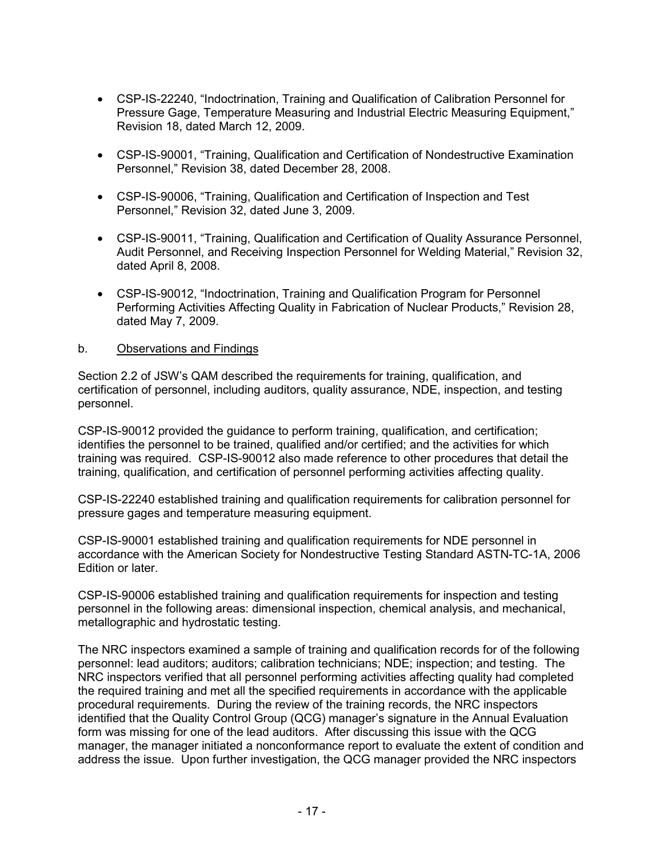- CSP-IS-22240, "Indoctrination, Training and Qualification of Calibration Personnel for Pressure Gage, Temperature Measuring and Industrial Electric Measuring Equipment," Revision 18, dated March 12, 2009.
- CSP-IS-90001, "Training, Qualification and Certification of Nondestructive Examination Personnel," Revision 38, dated December 28, 2008.
- CSP-IS-90006, "Training, Qualification and Certification of Inspection and Test Personnel," Revision 32, dated June 3, 2009.
- CSP-IS-90011, "Training, Qualification and Certification of Quality Assurance Personnel, Audit Personnel, and Receiving Inspection Personnel for Welding Material," Revision 32, dated April 8, 2008.
- CSP-IS-90012, "Indoctrination, Training and Qualification Program for Personnel Performing Activities Affecting Quality in Fabrication of Nuclear Products," Revision 28, dated May 7, 2009.

#### b. Observations and Findings

Section 2.2 of JSW's QAM described the requirements for training, qualification, and certification of personnel, including auditors, quality assurance, NDE, inspection, and testing personnel.

CSP-IS-90012 provided the guidance to perform training, qualification, and certification; identifies the personnel to be trained, qualified and/or certified; and the activities for which training was required. CSP-IS-90012 also made reference to other procedures that detail the training, qualification, and certification of personnel performing activities affecting quality.

CSP-IS-22240 established training and qualification requirements for calibration personnel for pressure gages and temperature measuring equipment.

CSP-IS-90001 established training and qualification requirements for NDE personnel in accordance with the American Society for Nondestructive Testing Standard ASTN-TC-1A, 2006 Edition or later.

CSP-IS-90006 established training and qualification requirements for inspection and testing personnel in the following areas: dimensional inspection, chemical analysis, and mechanical, metallographic and hydrostatic testing.

The NRC inspectors examined a sample of training and qualification records for of the following personnel: lead auditors; auditors; calibration technicians; NDE; inspection; and testing. The NRC inspectors verified that all personnel performing activities affecting quality had completed the required training and met all the specified requirements in accordance with the applicable procedural requirements. During the review of the training records, the NRC inspectors identified that the Quality Control Group (QCG) manager's signature in the Annual Evaluation form was missing for one of the lead auditors. After discussing this issue with the QCG manager, the manager initiated a nonconformance report to evaluate the extent of condition and address the issue. Upon further investigation, the QCG manager provided the NRC inspectors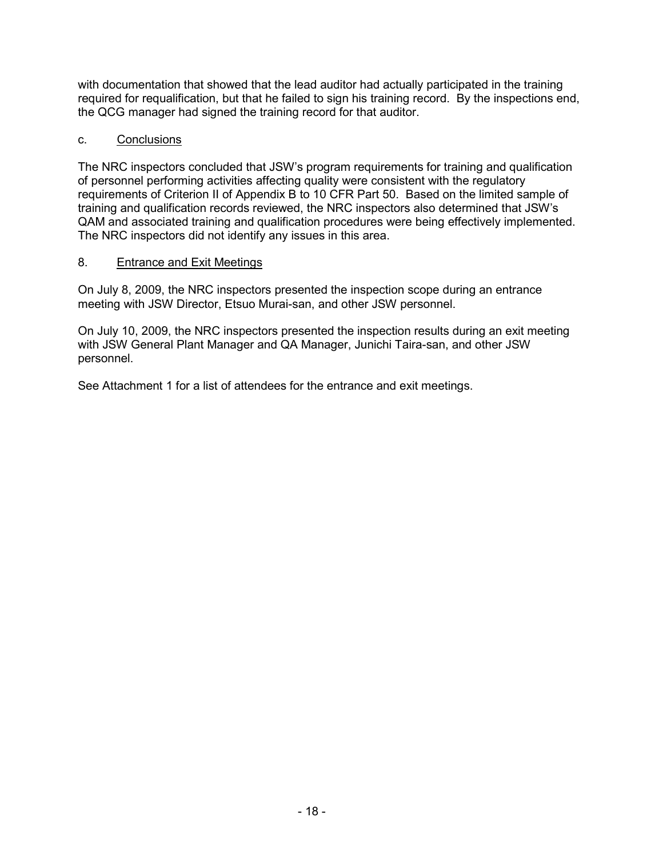with documentation that showed that the lead auditor had actually participated in the training required for requalification, but that he failed to sign his training record. By the inspections end, the QCG manager had signed the training record for that auditor.

#### c. Conclusions

The NRC inspectors concluded that JSW's program requirements for training and qualification of personnel performing activities affecting quality were consistent with the regulatory requirements of Criterion II of Appendix B to 10 CFR Part 50. Based on the limited sample of training and qualification records reviewed, the NRC inspectors also determined that JSW's QAM and associated training and qualification procedures were being effectively implemented. The NRC inspectors did not identify any issues in this area.

#### 8. Entrance and Exit Meetings

On July 8, 2009, the NRC inspectors presented the inspection scope during an entrance meeting with JSW Director, Etsuo Murai-san, and other JSW personnel.

On July 10, 2009, the NRC inspectors presented the inspection results during an exit meeting with JSW General Plant Manager and QA Manager, Junichi Taira-san, and other JSW personnel.

See Attachment 1 for a list of attendees for the entrance and exit meetings.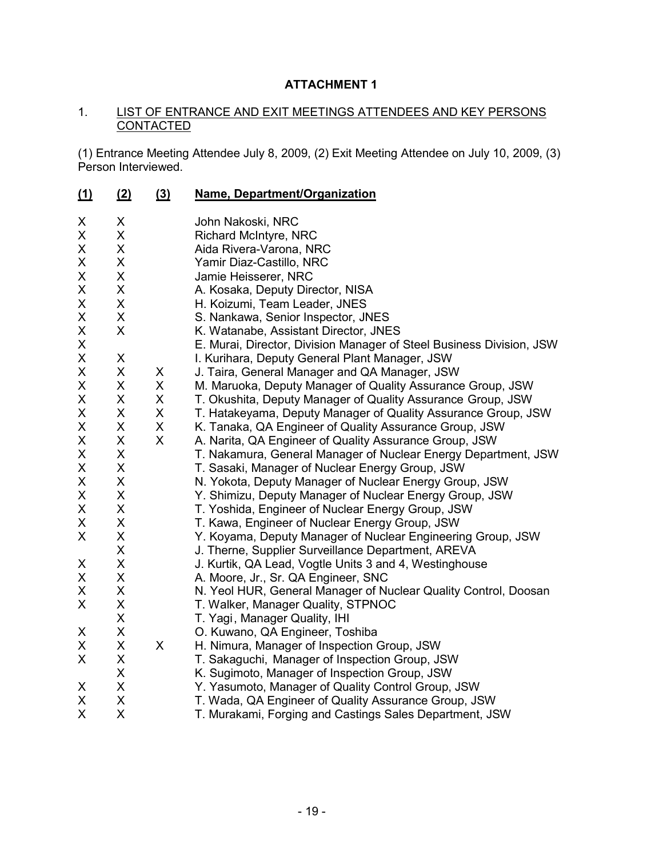# **ATTACHMENT 1**

#### 1. LIST OF ENTRANCE AND EXIT MEETINGS ATTENDEES AND KEY PERSONS **CONTACTED**

(1) Entrance Meeting Attendee July 8, 2009, (2) Exit Meeting Attendee on July 10, 2009, (3) Person Interviewed.

| $\underline{\underline{(1)}}$ | (2)    | (3) | Name, Department/Organization                                        |
|-------------------------------|--------|-----|----------------------------------------------------------------------|
| X                             | X      |     | John Nakoski, NRC                                                    |
| Χ                             | X      |     | <b>Richard McIntyre, NRC</b>                                         |
| X                             | X      |     | Aida Rivera-Varona, NRC                                              |
| X                             | X      |     | Yamir Diaz-Castillo, NRC                                             |
| X                             | X      |     | Jamie Heisserer, NRC                                                 |
| Χ                             | X      |     | A. Kosaka, Deputy Director, NISA                                     |
| X                             | X      |     | H. Koizumi, Team Leader, JNES                                        |
| X                             | X      |     | S. Nankawa, Senior Inspector, JNES                                   |
| X                             | X      |     | K. Watanabe, Assistant Director, JNES                                |
| X                             |        |     | E. Murai, Director, Division Manager of Steel Business Division, JSW |
| X                             | X      |     | I. Kurihara, Deputy General Plant Manager, JSW                       |
| X                             | X      | X   | J. Taira, General Manager and QA Manager, JSW                        |
| X                             | X      | X   | M. Maruoka, Deputy Manager of Quality Assurance Group, JSW           |
| X                             | X      | X   | T. Okushita, Deputy Manager of Quality Assurance Group, JSW          |
| X                             | X      | X   | T. Hatakeyama, Deputy Manager of Quality Assurance Group, JSW        |
| X                             | X      | X   | K. Tanaka, QA Engineer of Quality Assurance Group, JSW               |
| X                             | X      | X   | A. Narita, QA Engineer of Quality Assurance Group, JSW               |
| Χ                             | X      |     | T. Nakamura, General Manager of Nuclear Energy Department, JSW       |
| X                             | X      |     | T. Sasaki, Manager of Nuclear Energy Group, JSW                      |
| X                             | X      |     | N. Yokota, Deputy Manager of Nuclear Energy Group, JSW               |
| X                             | X      |     | Y. Shimizu, Deputy Manager of Nuclear Energy Group, JSW              |
| X                             | X      |     | T. Yoshida, Engineer of Nuclear Energy Group, JSW                    |
| X                             | X      |     | T. Kawa, Engineer of Nuclear Energy Group, JSW                       |
| X                             | X      |     | Y. Koyama, Deputy Manager of Nuclear Engineering Group, JSW          |
|                               | X      |     | J. Therne, Supplier Surveillance Department, AREVA                   |
| X                             | X      |     | J. Kurtik, QA Lead, Vogtle Units 3 and 4, Westinghouse               |
| X                             | X      |     | A. Moore, Jr., Sr. QA Engineer, SNC                                  |
| Χ                             | X      |     | N. Yeol HUR, General Manager of Nuclear Quality Control, Doosan      |
| X                             | X      |     | T. Walker, Manager Quality, STPNOC                                   |
|                               | X      |     | T. Yagi, Manager Quality, IHI                                        |
| X                             | X      |     | O. Kuwano, QA Engineer, Toshiba                                      |
| X                             | X      | X   | H. Nimura, Manager of Inspection Group, JSW                          |
| X                             | X      |     | T. Sakaguchi, Manager of Inspection Group, JSW                       |
|                               | X      |     | K. Sugimoto, Manager of Inspection Group, JSW                        |
| X<br>X                        | X<br>X |     | Y. Yasumoto, Manager of Quality Control Group, JSW                   |
| X                             | X      |     | T. Wada, QA Engineer of Quality Assurance Group, JSW                 |
|                               |        |     | T. Murakami, Forging and Castings Sales Department, JSW              |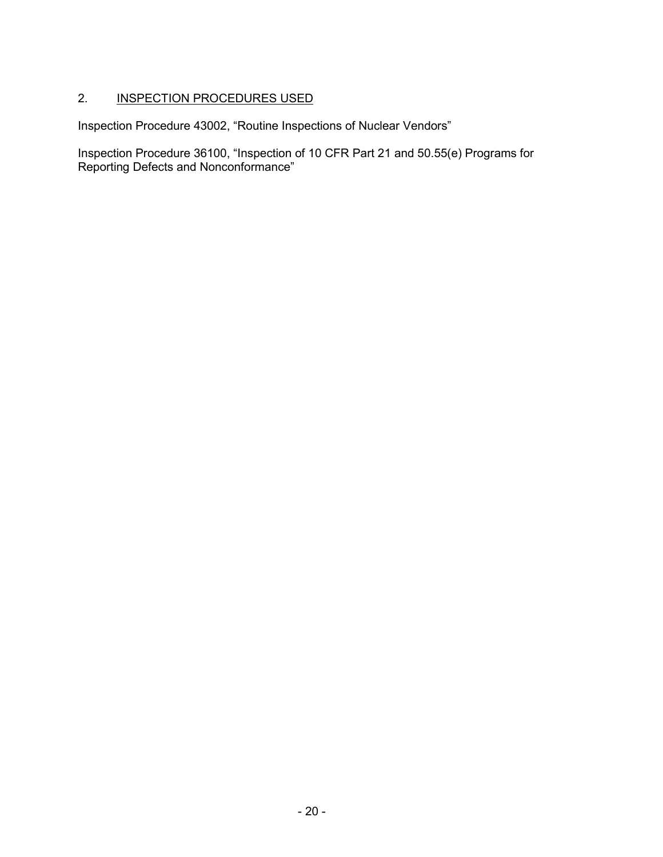# 2. **INSPECTION PROCEDURES USED**

Inspection Procedure 43002, "Routine Inspections of Nuclear Vendors"

Inspection Procedure 36100, "Inspection of 10 CFR Part 21 and 50.55(e) Programs for Reporting Defects and Nonconformance"